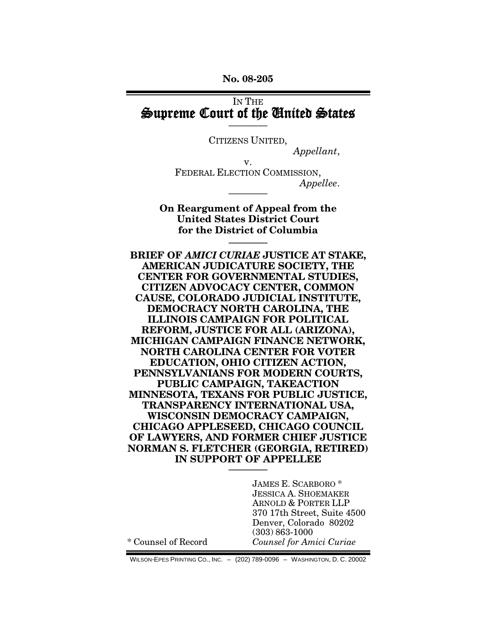**No. 08-205**

### IN THE Supreme Court of the United States

———— CITIZENS UNITED,

*Appellant*,

v. FEDERAL ELECTION COMMISSION, *Appellee*.

**On Reargument of Appeal from the United States District Court for the District of Columbia**

**————**

————

**BRIEF OF** *AMICI CURIAE* **JUSTICE AT STAKE, AMERICAN JUDICATURE SOCIETY, THE CENTER FOR GOVERNMENTAL STUDIES, CITIZEN ADVOCACY CENTER, COMMON CAUSE, COLORADO JUDICIAL INSTITUTE, DEMOCRACY NORTH CAROLINA, THE ILLINOIS CAMPAIGN FOR POLITICAL REFORM, JUSTICE FOR ALL (ARIZONA), MICHIGAN CAMPAIGN FINANCE NETWORK, NORTH CAROLINA CENTER FOR VOTER EDUCATION, OHIO CITIZEN ACTION, PENNSYLVANIANS FOR MODERN COURTS, PUBLIC CAMPAIGN, TAKEACTION MINNESOTA, TEXANS FOR PUBLIC JUSTICE, TRANSPARENCY INTERNATIONAL USA, WISCONSIN DEMOCRACY CAMPAIGN, CHICAGO APPLESEED, CHICAGO COUNCIL OF LAWYERS, AND FORMER CHIEF JUSTICE NORMAN S. FLETCHER (GEORGIA, RETIRED) IN SUPPORT OF APPELLEE ————**

> JAMES E. SCARBORO \* JESSICA A. SHOEMAKER ARNOLD & PORTER LLP 370 17th Street, Suite 4500 Denver, Colorado 80202 (303) 863-1000 *Counsel for Amici Curiae*

\* Counsel of Record

WILSON-EPES PRINTING CO., INC. – (202) 789-0096 – WASHINGTON, D. C. 20002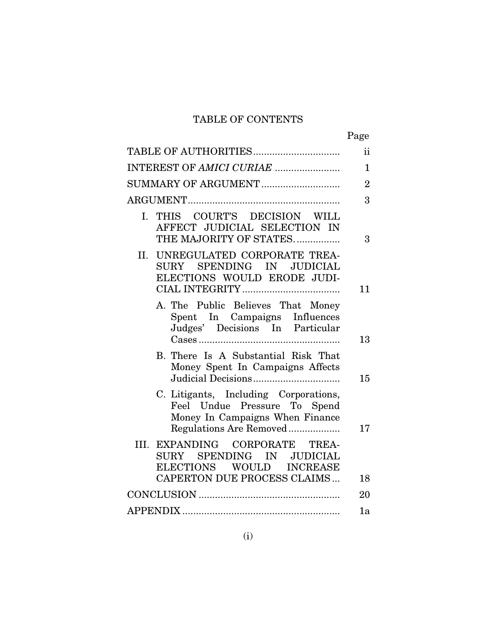# TABLE OF CONTENTS

|                                                                                                                                     | Page           |
|-------------------------------------------------------------------------------------------------------------------------------------|----------------|
|                                                                                                                                     | $\mathbf{ii}$  |
| INTEREST OF AMICI CURIAE                                                                                                            | $\mathbf{1}$   |
| SUMMARY OF ARGUMENT                                                                                                                 | $\overline{2}$ |
|                                                                                                                                     | 3              |
| THIS COURT'S DECISION WILL<br>$I_{\cdot}$<br>AFFECT JUDICIAL SELECTION IN<br>THE MAJORITY OF STATES                                 | 3              |
| II. UNREGULATED CORPORATE TREA-<br>SURY SPENDING IN<br><b>JUDICIAL</b><br>ELECTIONS WOULD ERODE JUDI-                               | 11             |
| A. The Public Believes That Money<br>Spent In Campaigns Influences<br>Judges' Decisions In Particular                               | 13             |
| B. There Is A Substantial Risk That<br>Money Spent In Campaigns Affects                                                             | 15             |
| C. Litigants, Including Corporations,<br>Feel Undue Pressure To Spend<br>Money In Campaigns When Finance<br>Regulations Are Removed | 17             |
| III. EXPANDING CORPORATE<br>TREA-<br>SPENDING IN JUDICIAL<br>SURY<br>ELECTIONS WOULD<br><b>INCREASE</b>                             |                |
| CAPERTON DUE PROCESS CLAIMS                                                                                                         | 18             |
|                                                                                                                                     | 20             |
|                                                                                                                                     | 1a             |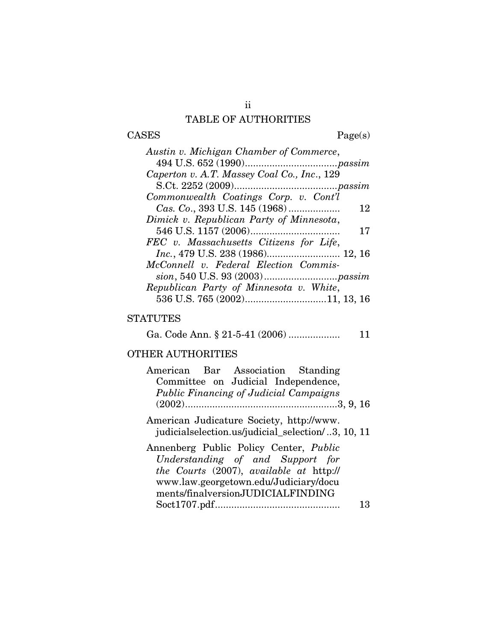### TABLE OF AUTHORITIES

 $\begin{tabular}{cc} \textbf{CASES} & \textbf{Page(s)}\\ \end{tabular}$ 

| Caperton v. A.T. Massey Coal Co., Inc., 129<br>Commonwealth Coatings Corp. v. Cont'l<br>12<br>Dimick v. Republican Party of Minnesota,<br>17<br>FEC v. Massachusetts Citizens for Life,<br>Inc., 479 U.S. 238 (1986) 12, 16<br>McConnell v. Federal Election Commis-<br>Republican Party of Minnesota v. White,<br>536 U.S. 765 (2002)11, 13, 16 | Austin v. Michigan Chamber of Commerce, |
|--------------------------------------------------------------------------------------------------------------------------------------------------------------------------------------------------------------------------------------------------------------------------------------------------------------------------------------------------|-----------------------------------------|
|                                                                                                                                                                                                                                                                                                                                                  |                                         |
|                                                                                                                                                                                                                                                                                                                                                  |                                         |
|                                                                                                                                                                                                                                                                                                                                                  |                                         |
|                                                                                                                                                                                                                                                                                                                                                  |                                         |
|                                                                                                                                                                                                                                                                                                                                                  |                                         |
|                                                                                                                                                                                                                                                                                                                                                  |                                         |
|                                                                                                                                                                                                                                                                                                                                                  |                                         |
|                                                                                                                                                                                                                                                                                                                                                  |                                         |
|                                                                                                                                                                                                                                                                                                                                                  |                                         |
|                                                                                                                                                                                                                                                                                                                                                  |                                         |
|                                                                                                                                                                                                                                                                                                                                                  |                                         |
|                                                                                                                                                                                                                                                                                                                                                  |                                         |
|                                                                                                                                                                                                                                                                                                                                                  |                                         |

### **STATUTES**

Ga. Code Ann. § 21-5-41 (2006) ................... 11

# OTHER AUTHORITIES

| American Bar Association Standing                                                                                                                                                                   |    |
|-----------------------------------------------------------------------------------------------------------------------------------------------------------------------------------------------------|----|
| Committee on Judicial Independence,                                                                                                                                                                 |    |
| <b>Public Financing of Judicial Campaigns</b>                                                                                                                                                       |    |
|                                                                                                                                                                                                     |    |
| American Judicature Society, http://www.<br>judicialselection.us/judicial_selection/3, 10, 11                                                                                                       |    |
| Annenberg Public Policy Center, Public<br>Understanding of and Support for<br>the Courts (2007), available at http://<br>www.law.georgetown.edu/Judiciary/docu<br>ments/finalversionJUDICIALFINDING |    |
|                                                                                                                                                                                                     | 13 |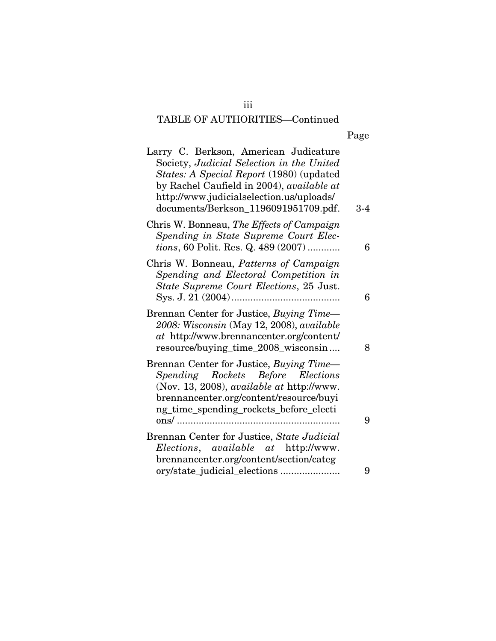| Page |
|------|

| Larry C. Berkson, American Judicature<br>Society, Judicial Selection in the United<br><i>States: A Special Report</i> (1980) (updated<br>by Rachel Caufield in 2004), available at<br>http://www.judicialselection.us/uploads/<br>documents/Berkson_1196091951709.pdf. | 3-4 |
|------------------------------------------------------------------------------------------------------------------------------------------------------------------------------------------------------------------------------------------------------------------------|-----|
| Chris W. Bonneau, The Effects of Campaign<br>Spending in State Supreme Court Elec-<br><i>tions</i> , 60 Polit. Res. Q. 489 (2007)                                                                                                                                      | 6   |
| Chris W. Bonneau, Patterns of Campaign<br>Spending and Electoral Competition in<br>State Supreme Court Elections, 25 Just.                                                                                                                                             | 6   |
| Brennan Center for Justice, Buying Time-<br>2008: Wisconsin (May 12, 2008), available<br>at http://www.brennancenter.org/content/<br>resource/buying_time_2008_wisconsin                                                                                               | 8   |
| Brennan Center for Justice, Buying Time-<br>Spending Rockets Before Elections<br>(Nov. 13, 2008), available at http://www.<br>brennancenter.org/content/resource/buyi<br>ng_time_spending_rockets_before_electi                                                        | 9   |
| Brennan Center for Justice, State Judicial<br>Elections, available at http://www.                                                                                                                                                                                      |     |
| brennancenter.org/content/section/categ                                                                                                                                                                                                                                | 9   |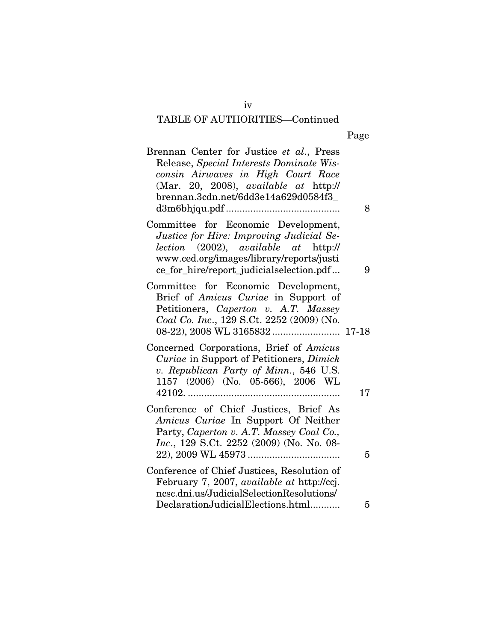Page

| Brennan Center for Justice et al., Press<br>Release, Special Interests Dominate Wis-<br>consin Airwaves in High Court Race<br>(Mar. 20, 2008), available at http://<br>brennan.3cdn.net/6dd3e14a629d0584f3_     | 8  |
|-----------------------------------------------------------------------------------------------------------------------------------------------------------------------------------------------------------------|----|
| Committee for Economic Development,<br>Justice for Hire: Improving Judicial Se-<br>lection (2002), available at http://<br>www.ced.org/images/library/reports/justi<br>ce_for_hire/report_judicialselection.pdf | 9  |
| Committee for Economic Development,<br>Brief of Amicus Curiae in Support of<br>Petitioners, Caperton v. A.T. Massey<br>Coal Co. Inc., 129 S.Ct. 2252 (2009) (No.                                                |    |
| Concerned Corporations, Brief of Amicus<br>Curiae in Support of Petitioners, Dimick<br>v. Republican Party of Minn., 546 U.S.<br>1157 (2006) (No. 05-566), 2006 WL                                              | 17 |
| Conference of Chief Justices, Brief As<br>Amicus Curiae In Support Of Neither<br>Party, Caperton v. A.T. Massey Coal Co.,<br>Inc., 129 S.Ct. 2252 (2009) (No. No. 08-                                           | 5  |
| Conference of Chief Justices, Resolution of<br>February 7, 2007, available at http://ccj.<br>ncsc.dni.us/JudicialSelectionResolutions/<br>DeclarationJudicialElections.html                                     | 5  |

iv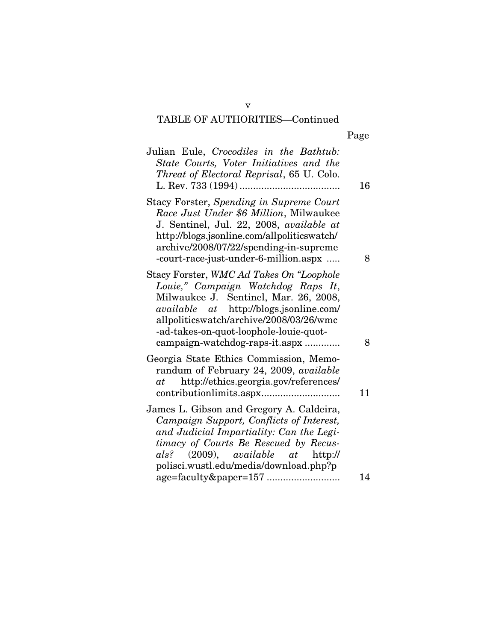Page

| Julian Eule, Crocodiles in the Bathtub:<br>State Courts, Voter Initiatives and the<br>Threat of Electoral Reprisal, 65 U. Colo.                                                                                                                                                                  | 16 |
|--------------------------------------------------------------------------------------------------------------------------------------------------------------------------------------------------------------------------------------------------------------------------------------------------|----|
| Stacy Forster, Spending in Supreme Court<br>Race Just Under \$6 Million, Milwaukee<br>J. Sentinel, Jul. 22, 2008, available at<br>http://blogs.jsonline.com/allpoliticswatch/<br>archive/2008/07/22/spending-in-supreme<br>-court-race-just-under-6-million.aspx                                 | 8  |
| Stacy Forster, WMC Ad Takes On "Loophole<br>Louie," Campaign Watchdog Raps It,<br>Milwaukee J. Sentinel, Mar. 26, 2008,<br><i>available</i> at http://blogs.jsonline.com/<br>allpoliticswatch/archive/2008/03/26/wmc<br>-ad-takes-on-quot-loophole-louie-quot-<br>campaign-watchdog-raps-it.aspx | 8  |
| Georgia State Ethics Commission, Memo-<br>randum of February 24, 2009, available<br>http://ethics.georgia.gov/references/<br>at                                                                                                                                                                  | 11 |
| James L. Gibson and Gregory A. Caldeira,<br>Campaign Support, Conflicts of Interest,<br>and Judicial Impartiality: Can the Legi-<br>timacy of Courts Be Rescued by Recus-<br>als? $(2009)$ , available at http://<br>polisci.wustl.edu/media/download.php?p                                      |    |
|                                                                                                                                                                                                                                                                                                  | 14 |

v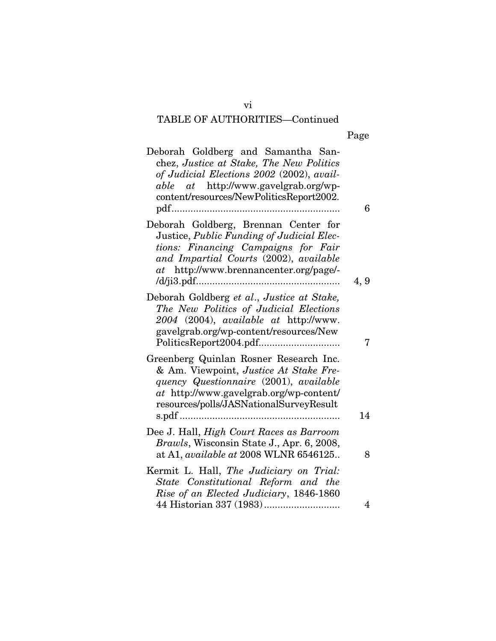| с<br>o<br>я<br>L |
|------------------|
|------------------|

| 6              | Deborah Goldberg and Samantha San-<br>chez, Justice at Stake, The New Politics<br>of Judicial Elections 2002 (2002), avail-<br><i>able</i> at http://www.gavelgrab.org/wp-<br>content/resources/NewPoliticsReport2002. |
|----------------|------------------------------------------------------------------------------------------------------------------------------------------------------------------------------------------------------------------------|
| 4, 9           | Deborah Goldberg, Brennan Center for<br>Justice, Public Funding of Judicial Elec-<br>tions: Financing Campaigns for Fair<br>and Impartial Courts (2002), available<br>at http://www.brennancenter.org/page/-           |
| 7              | Deborah Goldberg et al., Justice at Stake,<br>The New Politics of Judicial Elections<br>2004 (2004), available at http://www.<br>gavelgrab.org/wp-content/resources/New                                                |
| 14             | Greenberg Quinlan Rosner Research Inc.<br>& Am. Viewpoint, Justice At Stake Fre-<br>quency Questionnaire (2001), available<br>at http://www.gavelgrab.org/wp-content/<br>resources/polls/JASNationalSurveyResult       |
| 8              | Dee J. Hall, <i>High Court Races as Barroom</i><br>Brawls, Wisconsin State J., Apr. 6, 2008,<br>at A1, available at 2008 WLNR 6546125                                                                                  |
|                | Kermit L. Hall, The Judiciary on Trial:<br>State Constitutional Reform and the<br>Rise of an Elected Judiciary, 1846-1860                                                                                              |
| $\overline{4}$ |                                                                                                                                                                                                                        |

vi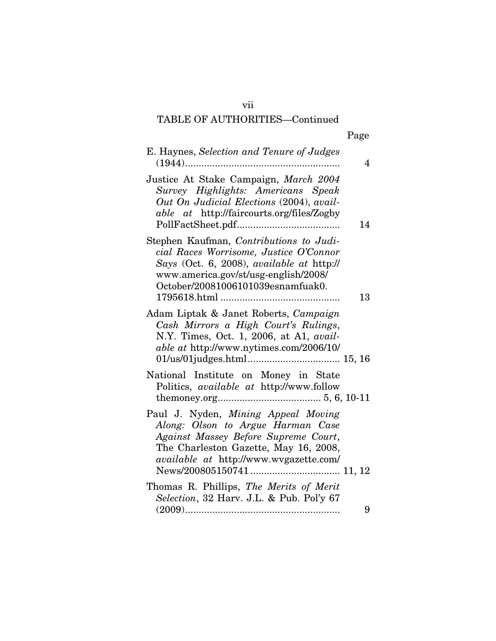|--|

| E. Haynes, Selection and Tenure of Judges<br>$(1944)$                                                                                                                                                       | 4  |
|-------------------------------------------------------------------------------------------------------------------------------------------------------------------------------------------------------------|----|
| Justice At Stake Campaign, March 2004<br>Survey Highlights: Americans Speak<br>Out On Judicial Elections (2004), avail-<br><i>able at http://faircourts.org/files/Zogby</i>                                 | 14 |
| Stephen Kaufman, Contributions to Judi-<br>cial Races Worrisome, Justice O'Connor<br>Says (Oct. 6, 2008), available at http://<br>www.america.gov/st/usg-english/2008/<br>October/20081006101039esnamfuak0. | 13 |
| Adam Liptak & Janet Roberts, Campaign<br>Cash Mirrors a High Court's Rulings,<br>N.Y. Times, Oct. 1, 2006, at A1, avail-<br><i>able at http://www.nytimes.com/2006/10/</i>                                  |    |
| National Institute on Money in State<br>Politics, available at http://www.follow                                                                                                                            |    |
| Paul J. Nyden, Mining Appeal Moving<br>Along: Olson to Argue Harman Case<br>Against Massey Before Supreme Court,<br>The Charleston Gazette, May 16, 2008,<br><i>available at http://www.wvgazette.com/</i>  |    |
| Thomas R. Phillips, The Merits of Merit<br>Selection, 32 Harv. J.L. & Pub. Pol'y 67                                                                                                                         | 9  |
|                                                                                                                                                                                                             |    |

vii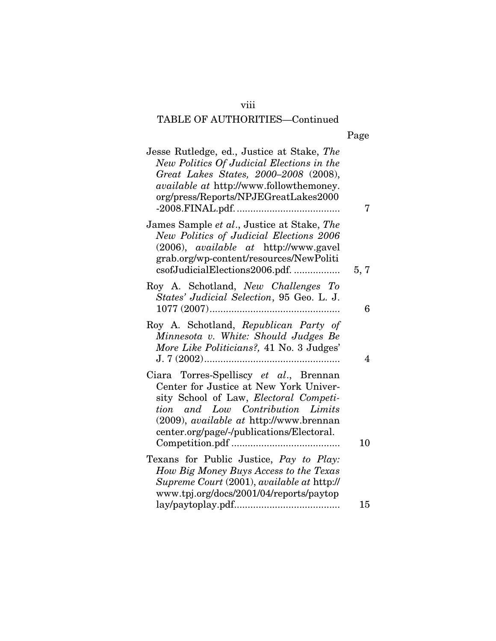### viii

# TABLE OF AUTHORITIES—Continued

| ٠ |  |
|---|--|
|---|--|

| Jesse Rutledge, ed., Justice at Stake, The<br>New Politics Of Judicial Elections in the<br>Great Lakes States, 2000-2008 (2008),<br>available at http://www.followthemoney.<br>org/press/Reports/NPJEGreatLakes2000                                           | 7    |
|---------------------------------------------------------------------------------------------------------------------------------------------------------------------------------------------------------------------------------------------------------------|------|
| James Sample et al., Justice at Stake, The<br>New Politics of Judicial Elections 2006<br>(2006), <i>available at http://www.gavel</i><br>grab.org/wp-content/resources/NewPoliti<br>csofJudicialElections2006.pdf.                                            | 5, 7 |
| Roy A. Schotland, New Challenges To<br>States' Judicial Selection, 95 Geo. L. J.                                                                                                                                                                              | 6    |
| Roy A. Schotland, Republican Party of<br>Minnesota v. White: Should Judges Be<br>More Like Politicians?, 41 No. 3 Judges'                                                                                                                                     | 4    |
| Ciara Torres-Spelliscy et al., Brennan<br>Center for Justice at New York Univer-<br>sity School of Law, Electoral Competi-<br>tion and Low Contribution Limits<br>(2009), <i>available at http://www.brennan</i><br>center.org/page/-/publications/Electoral. | 10   |
| Texans for Public Justice, Pay to Play:<br>How Big Money Buys Access to the Texas<br>Supreme Court (2001), available at http://<br>www.tpj.org/docs/2001/04/reports/paytop                                                                                    |      |
|                                                                                                                                                                                                                                                               | 15   |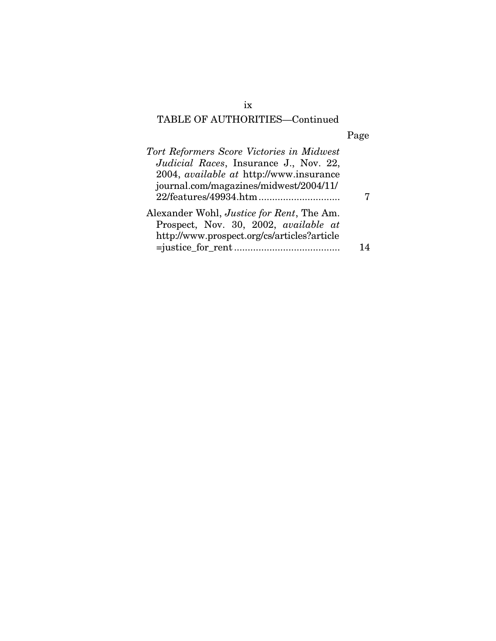# Page

| Tort Reformers Score Victories in Midwest         |  |
|---------------------------------------------------|--|
| <i>Judicial Races</i> , Insurance J., Nov. 22,    |  |
| 2004, <i>available at http://www.insurance</i>    |  |
| journal.com/magazines/midwest/2004/11/            |  |
|                                                   |  |
| Alexander Wohl, <i>Justice for Rent</i> , The Am. |  |
| Prospect, Nov. 30, 2002, available at             |  |
| http://www.prospect.org/cs/articles?article       |  |
|                                                   |  |
|                                                   |  |

ix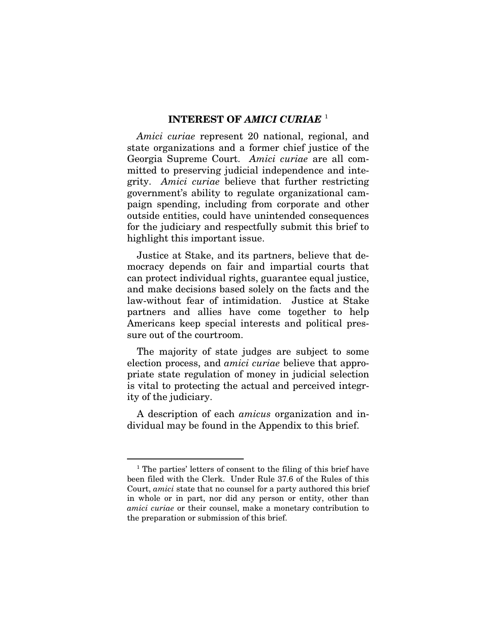#### **INTEREST OF** *AMICI CURIAE* [1](#page-10-0)

*Amici curiae* represent 20 national, regional, and state organizations and a former chief justice of the Georgia Supreme Court. *Amici curiae* are all committed to preserving judicial independence and integrity. *Amici curiae* believe that further restricting government's ability to regulate organizational campaign spending, including from corporate and other outside entities, could have unintended consequences for the judiciary and respectfully submit this brief to highlight this important issue.

Justice at Stake, and its partners, believe that democracy depends on fair and impartial courts that can protect individual rights, guarantee equal justice, and make decisions based solely on the facts and the law-without fear of intimidation. Justice at Stake partners and allies have come together to help Americans keep special interests and political pressure out of the courtroom.

The majority of state judges are subject to some election process, and *amici curiae* believe that appropriate state regulation of money in judicial selection is vital to protecting the actual and perceived integrity of the judiciary.

A description of each *amicus* organization and individual may be found in the Appendix to this brief.

<span id="page-10-0"></span><sup>&</sup>lt;sup>1</sup> The parties' letters of consent to the filing of this brief have been filed with the Clerk. Under Rule 37.6 of the Rules of this Court, *amici* state that no counsel for a party authored this brief in whole or in part, nor did any person or entity, other than *amici curiae* or their counsel, make a monetary contribution to the preparation or submission of this brief.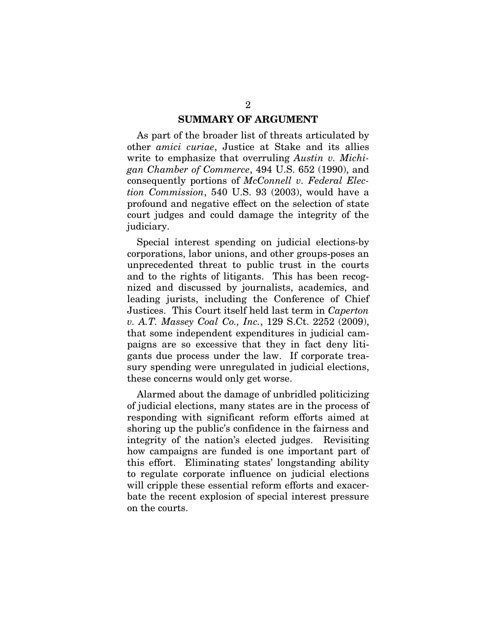#### **SUMMARY OF ARGUMENT**

As part of the broader list of threats articulated by other *amici curiae*, Justice at Stake and its allies write to emphasize that overruling *Austin v. Michigan Chamber of Commerce*, 494 U.S. 652 (1990), and consequently portions of *McConnell v. Federal Election Commission*, 540 U.S. 93 (2003), would have a profound and negative effect on the selection of state court judges and could damage the integrity of the judiciary.

Special interest spending on judicial elections-by corporations, labor unions, and other groups-poses an unprecedented threat to public trust in the courts and to the rights of litigants. This has been recognized and discussed by journalists, academics, and leading jurists, including the Conference of Chief Justices. This Court itself held last term in *Caperton v. A.T. Massey Coal Co., Inc.*, 129 S.Ct. 2252 (2009), that some independent expenditures in judicial campaigns are so excessive that they in fact deny litigants due process under the law. If corporate treasury spending were unregulated in judicial elections, these concerns would only get worse.

Alarmed about the damage of unbridled politicizing of judicial elections, many states are in the process of responding with significant reform efforts aimed at shoring up the public's confidence in the fairness and integrity of the nation's elected judges. Revisiting how campaigns are funded is one important part of this effort. Eliminating states' longstanding ability to regulate corporate influence on judicial elections will cripple these essential reform efforts and exacerbate the recent explosion of special interest pressure on the courts.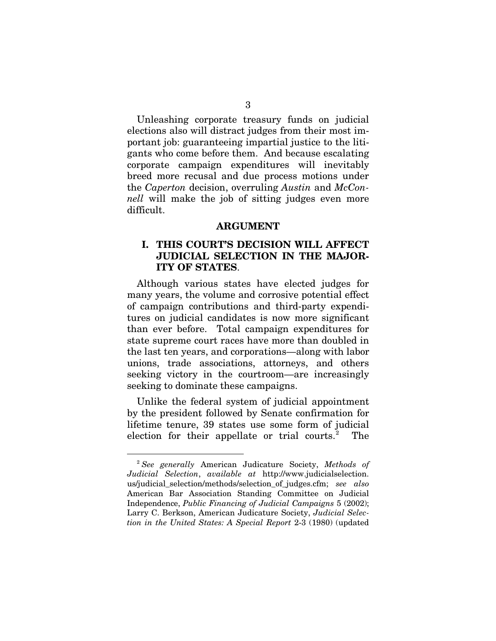Unleashing corporate treasury funds on judicial elections also will distract judges from their most important job: guaranteeing impartial justice to the litigants who come before them. And because escalating corporate campaign expenditures will inevitably breed more recusal and due process motions under the *Caperton* decision, overruling *Austin* and *McConnell* will make the job of sitting judges even more difficult.

#### **ARGUMENT**

### **I. THIS COURT'S DECISION WILL AFFECT JUDICIAL SELECTION IN THE MAJOR-ITY OF STATES**.

Although various states have elected judges for many years, the volume and corrosive potential effect of campaign contributions and third-party expenditures on judicial candidates is now more significant than ever before. Total campaign expenditures for state supreme court races have more than doubled in the last ten years, and corporations—along with labor unions, trade associations, attorneys, and others seeking victory in the courtroom—are increasingly seeking to dominate these campaigns.

Unlike the federal system of judicial appointment by the president followed by Senate confirmation for lifetime tenure, 39 states use some form of judicial election for their appellate or trial courts.<sup>[2](#page-12-0)</sup> The

<span id="page-12-0"></span> <sup>2</sup> *See generally* American Judicature Society, *Methods of Judicial Selection*, *available at* http://www.judicialselection. us/judicial\_selection/methods/selection\_of\_judges.cfm; *see also*  American Bar Association Standing Committee on Judicial Independence, *Public Financing of Judicial Campaigns* 5 (2002); Larry C. Berkson, American Judicature Society, *Judicial Selection in the United States: A Special Report* 2-3 (1980) (updated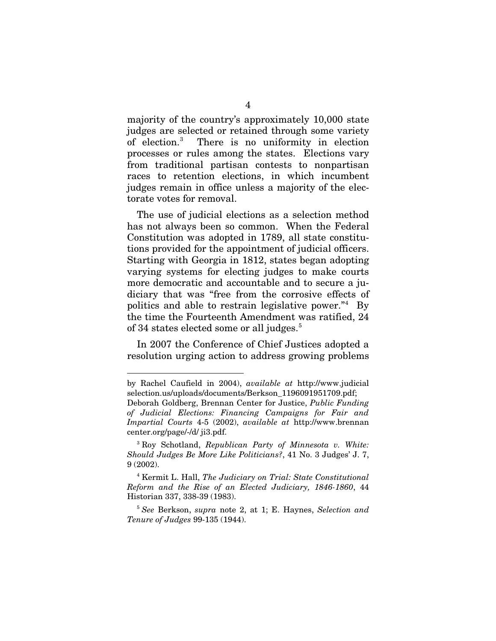majority of the country's approximately 10,000 state judges are selected or retained through some variety of election.[3](#page-13-0) There is no uniformity in election processes or rules among the states. Elections vary from traditional partisan contests to nonpartisan races to retention elections, in which incumbent judges remain in office unless a majority of the electorate votes for removal.

The use of judicial elections as a selection method has not always been so common. When the Federal Constitution was adopted in 1789, all state constitutions provided for the appointment of judicial officers. Starting with Georgia in 1812, states began adopting varying systems for electing judges to make courts more democratic and accountable and to secure a judiciary that was "free from the corrosive effects of politics and able to restrain legislative power."<sup>[4](#page-13-1)</sup> By the time the Fourteenth Amendment was ratified, 24 of 34 states elected some or all judges.<sup>[5](#page-13-2)</sup>

In 2007 the Conference of Chief Justices adopted a resolution urging action to address growing problems

-

by Rachel Caufield in 2004), *available at* http://www.judicial selection.us/uploads/documents/Berkson\_1196091951709.pdf;

Deborah Goldberg, Brennan Center for Justice, *Public Funding of Judicial Elections: Financing Campaigns for Fair and Impartial Courts* 4-5 (2002), *available at* http://www.brennan center.org/page/-/d/ ji3.pdf.

<span id="page-13-0"></span><sup>3</sup> Roy Schotland, *Republican Party of Minnesota v. White: Should Judges Be More Like Politicians?*, 41 No. 3 Judges' J. 7, 9 (2002).

<span id="page-13-1"></span><sup>4</sup> Kermit L. Hall, *The Judiciary on Trial: State Constitutional Reform and the Rise of an Elected Judiciary, 1846-1860*, 44 Historian 337, 338-39 (1983).

<span id="page-13-2"></span><sup>5</sup> *See* Berkson, *supra* note 2, at 1; E. Haynes, *Selection and Tenure of Judges* 99-135 (1944).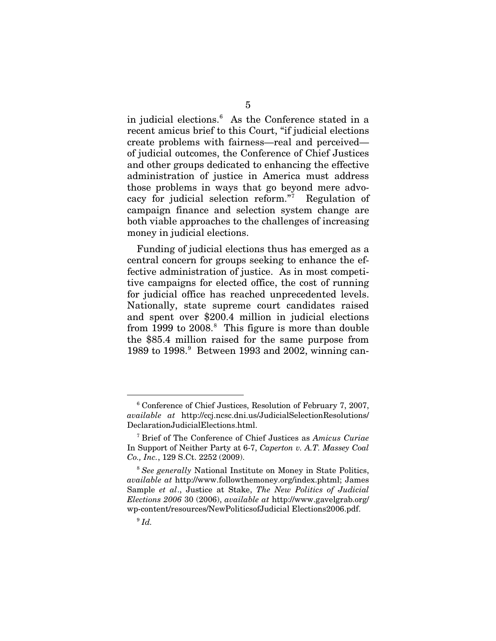in judicial elections.[6](#page-14-0) As the Conference stated in a recent amicus brief to this Court, "if judicial elections create problems with fairness—real and perceived of judicial outcomes, the Conference of Chief Justices and other groups dedicated to enhancing the effective administration of justice in America must address those problems in ways that go beyond mere advocacy for judicial selection reform."[7](#page-14-1) Regulation of campaign finance and selection system change are both viable approaches to the challenges of increasing money in judicial elections.

Funding of judicial elections thus has emerged as a central concern for groups seeking to enhance the effective administration of justice. As in most competitive campaigns for elected office, the cost of running for judicial office has reached unprecedented levels. Nationally, state supreme court candidates raised and spent over \$200.4 million in judicial elections from 1999 to 200[8](#page-14-2).<sup>8</sup> This figure is more than double the \$85.4 million raised for the same purpose from 1[9](#page-14-3)89 to 1998.<sup>9</sup> Between 1993 and 2002, winning can-

<span id="page-14-0"></span> <sup>6</sup> Conference of Chief Justices, Resolution of February 7, 2007, *available at* http://ccj.ncsc.dni.us/JudicialSelectionResolutions/ DeclarationJudicialElections.html.

<span id="page-14-1"></span><sup>7</sup> Brief of The Conference of Chief Justices as *Amicus Curiae* In Support of Neither Party at 6-7, *Caperton v. A.T. Massey Coal Co., Inc.*, 129 S.Ct. 2252 (2009).

<span id="page-14-3"></span><span id="page-14-2"></span><sup>8</sup> *See generally* National Institute on Money in State Politics, *available at* http://www.followthemoney.org/index.phtml; James Sample *et al*., Justice at Stake, *The New Politics of Judicial Elections 2006* 30 (2006), *available at* http://www.gavelgrab.org/ wp-content/resources/NewPoliticsofJudicial Elections2006.pdf.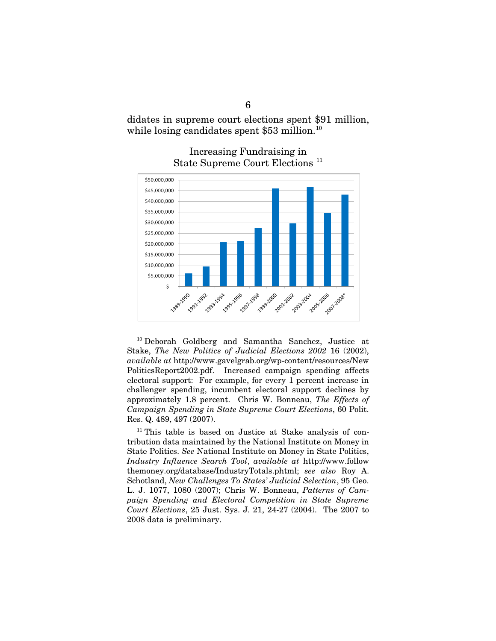didates in supreme court elections spent \$91 million, while losing candidates spent  $$53$  million.<sup>[10](#page-15-0)</sup>



#### Increasing Fundraising in State Supreme Court Elections [11](#page-15-1)

<span id="page-15-0"></span> 10 Deborah Goldberg and Samantha Sanchez, Justice at Stake, *The New Politics of Judicial Elections 2002* 16 (2002), *available at* http://www.gavelgrab.org/wp-content/resources/New PoliticsReport2002.pdf. Increased campaign spending affects electoral support: For example, for every 1 percent increase in challenger spending, incumbent electoral support declines by approximately 1.8 percent. Chris W. Bonneau, *The Effects of Campaign Spending in State Supreme Court Elections*, 60 Polit. Res. Q. 489, 497 (2007).

<span id="page-15-1"></span> $11$ <sup>11</sup> This table is based on Justice at Stake analysis of contribution data maintained by the National Institute on Money in State Politics. *See* National Institute on Money in State Politics, *Industry Influence Search Tool*, *available at* http://www.follow themoney.org/database/IndustryTotals.phtml; *see also* Roy A. Schotland, *New Challenges To States' Judicial Selection*, 95 Geo. L. J. 1077, 1080 (2007); Chris W. Bonneau, *Patterns of Campaign Spending and Electoral Competition in State Supreme Court Elections*, 25 Just. Sys. J. 21, 24-27 (2004). The 2007 to 2008 data is preliminary.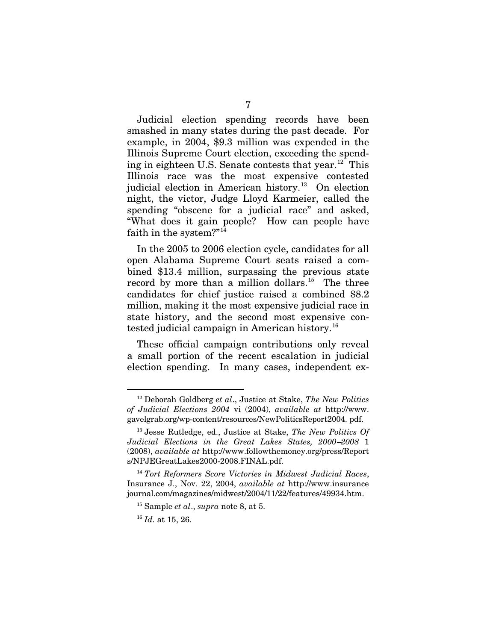Judicial election spending records have been smashed in many states during the past decade. For example, in 2004, \$9.3 million was expended in the Illinois Supreme Court election, exceeding the spend-ing in eighteen U.S. Senate contests that year.<sup>[12](#page-16-0)</sup> This Illinois race was the most expensive contested judicial election in American history.<sup>[13](#page-16-1)</sup> On election night, the victor, Judge Lloyd Karmeier, called the spending "obscene for a judicial race" and asked, "What does it gain people? How can people have faith in the system?"[14](#page-16-2)

In the 2005 to 2006 election cycle, candidates for all open Alabama Supreme Court seats raised a combined \$13.4 million, surpassing the previous state record by more than a million dollars.<sup>15</sup> The three candidates for chief justice raised a combined \$8.2 million, making it the most expensive judicial race in state history, and the second most expensive con-tested judicial campaign in American history.<sup>[16](#page-16-4)</sup>

These official campaign contributions only reveal a small portion of the recent escalation in judicial election spending. In many cases, independent ex-

<span id="page-16-0"></span> <sup>12</sup> Deborah Goldberg *et al*., Justice at Stake, *The New Politics of Judicial Elections 2004* vi (2004), *available at* http://www. gavelgrab.org/wp-content/resources/NewPoliticsReport2004. pdf.

<span id="page-16-1"></span><sup>13</sup> Jesse Rutledge, ed., Justice at Stake, *The New Politics Of Judicial Elections in the Great Lakes States, 2000*–*2008* 1 (2008), *available at* http://www.followthemoney.org/press/Report s/NPJEGreatLakes2000-2008.FINAL.pdf.

<span id="page-16-4"></span><span id="page-16-3"></span><span id="page-16-2"></span><sup>14</sup> *Tort Reformers Score Victories in Midwest Judicial Races*, Insurance J., Nov. 22, 2004, *available at* http://www.insurance journal.com/magazines/midwest/2004/11/22/features/49934.htm.

<sup>15</sup> Sample *et al*., *supra* note 8, at 5.

<sup>16</sup> *Id.* at 15, 26.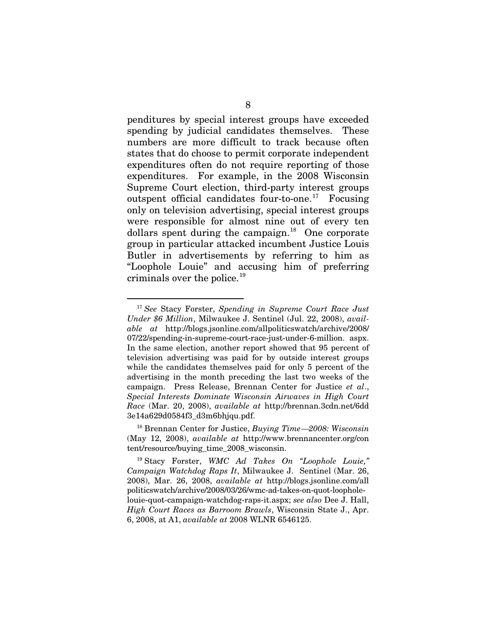penditures by special interest groups have exceeded spending by judicial candidates themselves. These numbers are more difficult to track because often states that do choose to permit corporate independent expenditures often do not require reporting of those expenditures. For example, in the 2008 Wisconsin Supreme Court election, third-party interest groups outspent official candidates four-to-one.<sup>[17](#page-17-0)</sup> Focusing only on television advertising, special interest groups were responsible for almost nine out of every ten dollars spent during the campaign.<sup>18</sup> One corporate group in particular attacked incumbent Justice Louis Butler in advertisements by referring to him as "Loophole Louie" and accusing him of preferring criminals over the police.<sup>[19](#page-17-2)</sup>

<span id="page-17-0"></span> <sup>17</sup> *See* Stacy Forster, *Spending in Supreme Court Race Just Under \$6 Million*, Milwaukee J. Sentinel (Jul. 22, 2008), *available at* http://blogs.jsonline.com/allpoliticswatch/archive/2008/ 07/22/spending-in-supreme-court-race-just-under-6-million. aspx. In the same election, another report showed that 95 percent of television advertising was paid for by outside interest groups while the candidates themselves paid for only 5 percent of the advertising in the month preceding the last two weeks of the campaign. Press Release, Brennan Center for Justice *et al*., *Special Interests Dominate Wisconsin Airwaves in High Court Race* (Mar. 20, 2008), *available at* http://brennan.3cdn.net/6dd 3e14a629d0584f3\_d3m6bhjqu.pdf.

<span id="page-17-1"></span><sup>18</sup> Brennan Center for Justice, *Buying Time*—*2008: Wisconsin* (May 12, 2008), *available at* http://www.brennancenter.org/con tent/resource/buying\_time\_2008\_wisconsin.

<span id="page-17-2"></span><sup>19</sup> Stacy Forster, *WMC Ad Takes On "Loophole Louie," Campaign Watchdog Raps It*, Milwaukee J. Sentinel (Mar. 26, 2008), Mar. 26, 2008, *available at* http://blogs.jsonline.com/all politicswatch/archive/2008/03/26/wmc-ad-takes-on-quot-loopholelouie-quot-campaign-watchdog-raps-it.aspx; *see also* Dee J. Hall, *High Court Races as Barroom Brawls*, Wisconsin State J., Apr. 6, 2008, at A1, *available at* 2008 WLNR 6546125.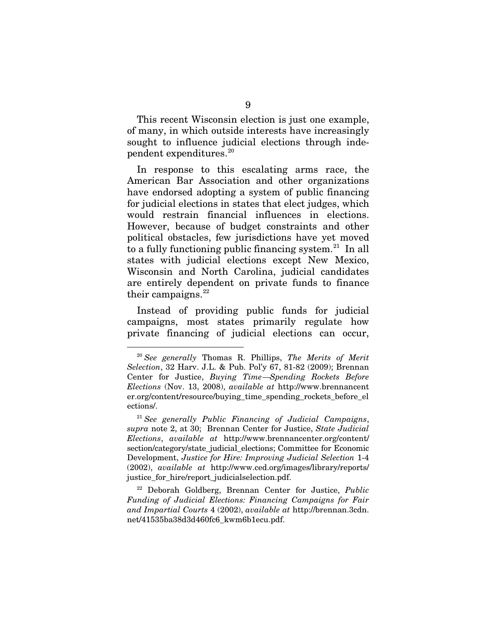This recent Wisconsin election is just one example, of many, in which outside interests have increasingly sought to influence judicial elections through inde $p$ endent expenditures.<sup>[20](#page-18-0)</sup>

In response to this escalating arms race, the American Bar Association and other organizations have endorsed adopting a system of public financing for judicial elections in states that elect judges, which would restrain financial influences in elections. However, because of budget constraints and other political obstacles, few jurisdictions have yet moved to a fully functioning public financing system.<sup>[21](#page-18-1)</sup> In all states with judicial elections except New Mexico, Wisconsin and North Carolina, judicial candidates are entirely dependent on private funds to finance their campaigns. $22$ 

Instead of providing public funds for judicial campaigns, most states primarily regulate how private financing of judicial elections can occur,

<span id="page-18-2"></span><sup>22</sup> Deborah Goldberg, Brennan Center for Justice, *Public Funding of Judicial Elections: Financing Campaigns for Fair and Impartial Courts* 4 (2002), *available at* http://brennan.3cdn. net/41535ba38d3d460fc6\_kwm6b1ecu.pdf.

<span id="page-18-0"></span> <sup>20</sup> *See generally* Thomas R. Phillips, *The Merits of Merit Selection*, 32 Harv. J.L. & Pub. Pol'y 67, 81-82 (2009); Brennan Center for Justice, *Buying Time*—*Spending Rockets Before Elections* (Nov. 13, 2008), *available at* http://www.brennancent er.org/content/resource/buying\_time\_spending\_rockets\_before\_el ections/.

<span id="page-18-1"></span><sup>21</sup> *See generally Public Financing of Judicial Campaigns*, *supra* note 2, at 30; Brennan Center for Justice, *State Judicial Elections*, *available at* http://www.brennancenter.org/content/ section/category/state\_judicial\_elections; Committee for Economic Development, *Justice for Hire: Improving Judicial Selection* 1-4 (2002), *available at* http://www.ced.org/images/library/reports/ justice for hire/report judicialselection.pdf.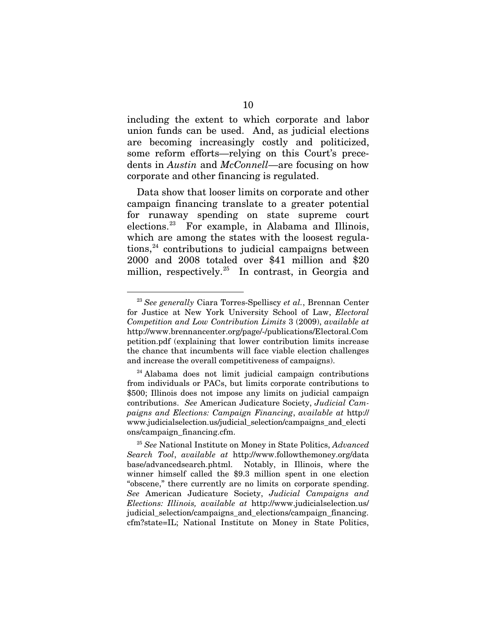including the extent to which corporate and labor union funds can be used. And, as judicial elections are becoming increasingly costly and politicized, some reform efforts—relying on this Court's precedents in *Austin* and *McConnell*—are focusing on how corporate and other financing is regulated.

Data show that looser limits on corporate and other campaign financing translate to a greater potential for runaway spending on state supreme court elections.[23](#page-19-0) For example, in Alabama and Illinois, which are among the states with the loosest regula- $tions<sup>24</sup>$  $tions<sup>24</sup>$  $tions<sup>24</sup>$  contributions to judicial campaigns between 2000 and 2008 totaled over \$41 million and \$20 million, respectively.<sup>[25](#page-19-2)</sup> In contrast, in Georgia and

<span id="page-19-0"></span> <sup>23</sup> *See generally* Ciara Torres-Spelliscy *et al.*, Brennan Center for Justice at New York University School of Law, *Electoral Competition and Low Contribution Limits* 3 (2009), *available at*  http://www.brennancenter.org/page/-/publications/Electoral.Com petition.pdf (explaining that lower contribution limits increase the chance that incumbents will face viable election challenges and increase the overall competitiveness of campaigns).

<span id="page-19-1"></span> $24$  Alabama does not limit judicial campaign contributions from individuals or PACs, but limits corporate contributions to \$500; Illinois does not impose any limits on judicial campaign contributions. *See* American Judicature Society, *Judicial Campaigns and Elections: Campaign Financing*, *available at* http:// www.judicialselection.us/judicial\_selection/campaigns\_and\_electi ons/campaign\_financing.cfm.

<span id="page-19-2"></span><sup>25</sup> *See* National Institute on Money in State Politics, *Advanced Search Tool*, *available at* http://www.followthemoney.org/data base/advancedsearch.phtml. Notably, in Illinois, where the winner himself called the \$9.3 million spent in one election "obscene," there currently are no limits on corporate spending. *See* American Judicature Society, *Judicial Campaigns and Elections: Illinois, available at* http://www.judicialselection.us/ judicial\_selection/campaigns\_and\_elections/campaign\_financing. cfm?state=IL; National Institute on Money in State Politics,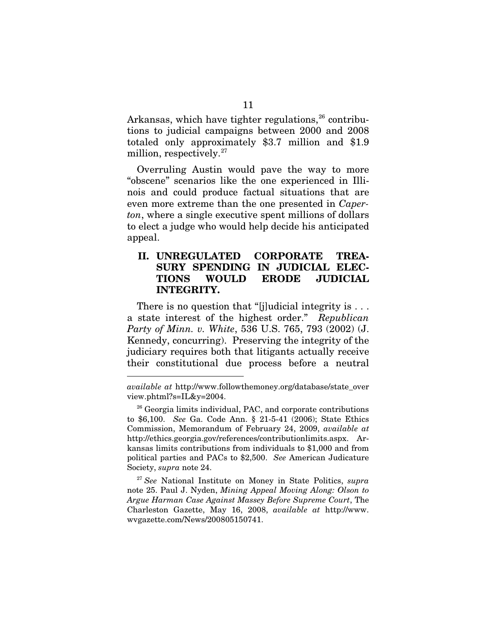Arkansas, which have tighter regulations,  $26$  contributions to judicial campaigns between 2000 and 2008 totaled only approximately \$3.7 million and \$1.9 million, respectively.<sup>[27](#page-20-1)</sup>

Overruling Austin would pave the way to more "obscene" scenarios like the one experienced in Illinois and could produce factual situations that are even more extreme than the one presented in *Caperton*, where a single executive spent millions of dollars to elect a judge who would help decide his anticipated appeal.

### **II. UNREGULATED CORPORATE TREA-SURY SPENDING IN JUDICIAL ELEC-TIONS WOULD ERODE JUDICIAL INTEGRITY.**

There is no question that "[j]udicial integrity is ... a state interest of the highest order." *Republican Party of Minn. v. White*, 536 U.S. 765, 793 (2002) (J. Kennedy, concurring). Preserving the integrity of the judiciary requires both that litigants actually receive their constitutional due process before a neutral

-

<span id="page-20-1"></span><sup>27</sup> *See* National Institute on Money in State Politics, *supra* note 25. Paul J. Nyden, *Mining Appeal Moving Along: Olson to Argue Harman Case Against Massey Before Supreme Court*, The Charleston Gazette, May 16, 2008, *available at* http://www. wvgazette.com/News/200805150741.

*available at* http://www.followthemoney.org/database/state\_over view.phtml?s=IL&y=2004.

<span id="page-20-0"></span><sup>&</sup>lt;sup>26</sup> Georgia limits individual, PAC, and corporate contributions to \$6,100. *See* Ga. Code Ann. § 21-5-41 (2006); State Ethics Commission, Memorandum of February 24, 2009, *available at*  http://ethics.georgia.gov/references/contributionlimits.aspx. Arkansas limits contributions from individuals to \$1,000 and from political parties and PACs to \$2,500. *See* American Judicature Society, *supra* note 24.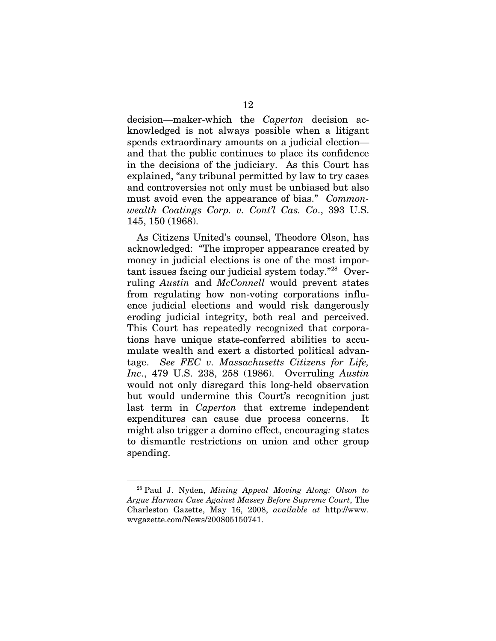decision—maker-which the *Caperton* decision acknowledged is not always possible when a litigant spends extraordinary amounts on a judicial election and that the public continues to place its confidence in the decisions of the judiciary. As this Court has explained, "any tribunal permitted by law to try cases and controversies not only must be unbiased but also must avoid even the appearance of bias." *Commonwealth Coatings Corp. v. Cont'l Cas. Co*., 393 U.S. 145, 150 (1968).

As Citizens United's counsel, Theodore Olson, has acknowledged: "The improper appearance created by money in judicial elections is one of the most impor-tant issues facing our judicial system today."<sup>[28](#page-21-0)</sup> Overruling *Austin* and *McConnell* would prevent states from regulating how non-voting corporations influence judicial elections and would risk dangerously eroding judicial integrity, both real and perceived. This Court has repeatedly recognized that corporations have unique state-conferred abilities to accumulate wealth and exert a distorted political advantage. *See FEC v. Massachusetts Citizens for Life, Inc*., 479 U.S. 238, 258 (1986). Overruling *Austin* would not only disregard this long-held observation but would undermine this Court's recognition just last term in *Caperton* that extreme independent expenditures can cause due process concerns. It might also trigger a domino effect, encouraging states to dismantle restrictions on union and other group spending.

<span id="page-21-0"></span> <sup>28</sup> Paul J. Nyden, *Mining Appeal Moving Along: Olson to Argue Harman Case Against Massey Before Supreme Court*, The Charleston Gazette, May 16, 2008, *available at* http://www. wvgazette.com/News/200805150741.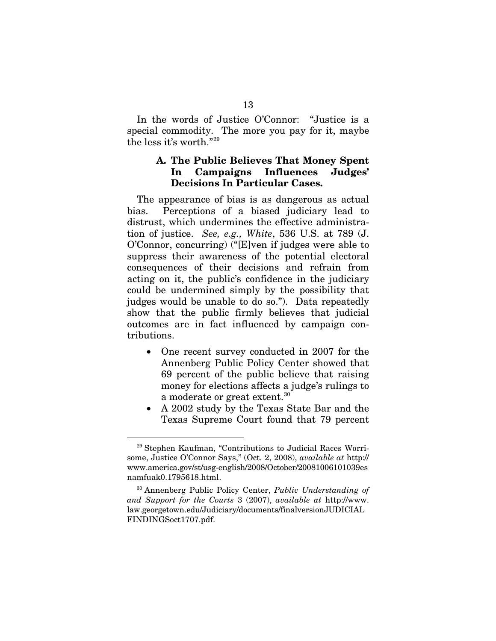In the words of Justice O'Connor: "Justice is a special commodity. The more you pay for it, maybe the less it's worth."[29](#page-22-0)

#### **A. The Public Believes That Money Spent In Campaigns Influences Judges' Decisions In Particular Cases.**

The appearance of bias is as dangerous as actual bias. Perceptions of a biased judiciary lead to distrust, which undermines the effective administration of justice. *See, e.g., White*, 536 U.S. at 789 (J. O'Connor, concurring) ("[E]ven if judges were able to suppress their awareness of the potential electoral consequences of their decisions and refrain from acting on it, the public's confidence in the judiciary could be undermined simply by the possibility that judges would be unable to do so."). Data repeatedly show that the public firmly believes that judicial outcomes are in fact influenced by campaign contributions.

- One recent survey conducted in 2007 for the Annenberg Public Policy Center showed that 69 percent of the public believe that raising money for elections affects a judge's rulings to a moderate or great extent.<sup>[30](#page-22-1)</sup>
- A 2002 study by the Texas State Bar and the Texas Supreme Court found that 79 percent

<span id="page-22-0"></span> <sup>29</sup> Stephen Kaufman, "Contributions to Judicial Races Worrisome, Justice O'Connor Says," (Oct. 2, 2008), *available at* http:// www.america.gov/st/usg-english/2008/October/20081006101039es namfuak0.1795618.html.

<span id="page-22-1"></span><sup>30</sup> Annenberg Public Policy Center, *Public Understanding of and Support for the Courts* 3 (2007), *available at* http://www. law.georgetown.edu/Judiciary/documents/finalversionJUDICIAL FINDINGSoct1707.pdf.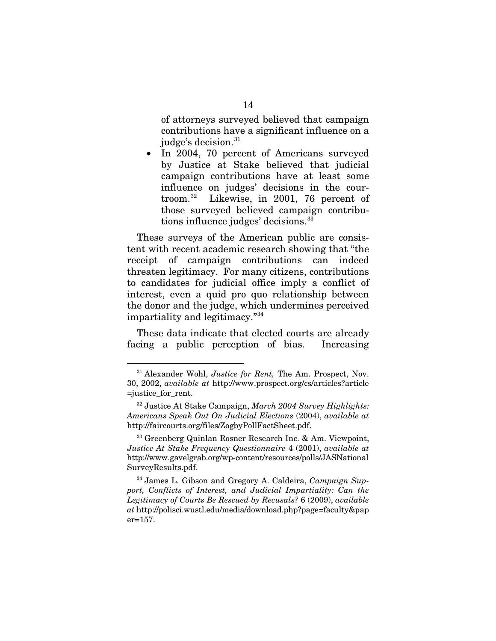of attorneys surveyed believed that campaign contributions have a significant influence on a judge's decision. $31$ 

• In 2004, 70 percent of Americans surveyed by Justice at Stake believed that judicial campaign contributions have at least some influence on judges' decisions in the courtroom.[32](#page-23-1) Likewise, in 2001, 76 percent of those surveyed believed campaign contribu-tions influence judges' decisions.<sup>[33](#page-23-2)</sup>

These surveys of the American public are consistent with recent academic research showing that "the receipt of campaign contributions can indeed threaten legitimacy. For many citizens, contributions to candidates for judicial office imply a conflict of interest, even a quid pro quo relationship between the donor and the judge, which undermines perceived impartiality and legitimacy."<sup>[34](#page-23-3)</sup>

These data indicate that elected courts are already facing a public perception of bias. Increasing

<span id="page-23-0"></span> <sup>31</sup> Alexander Wohl, *Justice for Rent,* The Am. Prospect, Nov. 30, 2002, *available at* http://www.prospect.org/cs/articles?article =justice\_for\_rent.

<span id="page-23-1"></span><sup>32</sup> Justice At Stake Campaign, *March 2004 Survey Highlights: Americans Speak Out On Judicial Elections* (2004), *available at* http://faircourts.org/files/ZogbyPollFactSheet.pdf.

<span id="page-23-2"></span><sup>33</sup> Greenberg Quinlan Rosner Research Inc. & Am. Viewpoint, *Justice At Stake Frequency Questionnaire* 4 (2001), *available at* http://www.gavelgrab.org/wp-content/resources/polls/JASNational SurveyResults.pdf.

<span id="page-23-3"></span><sup>34</sup> James L. Gibson and Gregory A. Caldeira, *Campaign Support, Conflicts of Interest, and Judicial Impartiality: Can the Legitimacy of Courts Be Rescued by Recusals?* 6 (2009), *available at* http://polisci.wustl.edu/media/download.php?page=faculty&pap er=157.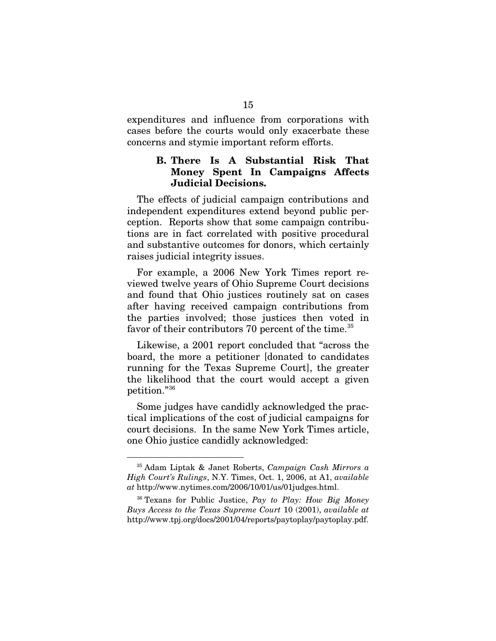expenditures and influence from corporations with cases before the courts would only exacerbate these concerns and stymie important reform efforts.

#### **B. There Is A Substantial Risk That Money Spent In Campaigns Affects Judicial Decisions.**

The effects of judicial campaign contributions and independent expenditures extend beyond public perception. Reports show that some campaign contributions are in fact correlated with positive procedural and substantive outcomes for donors, which certainly raises judicial integrity issues.

For example, a 2006 New York Times report reviewed twelve years of Ohio Supreme Court decisions and found that Ohio justices routinely sat on cases after having received campaign contributions from the parties involved; those justices then voted in favor of their contributors 70 percent of the time.<sup>[35](#page-24-0)</sup>

Likewise, a 2001 report concluded that "across the board, the more a petitioner [donated to candidates running for the Texas Supreme Court], the greater the likelihood that the court would accept a given petition."[36](#page-24-1)

Some judges have candidly acknowledged the practical implications of the cost of judicial campaigns for court decisions. In the same New York Times article, one Ohio justice candidly acknowledged:

<span id="page-24-0"></span> <sup>35</sup> Adam Liptak & Janet Roberts, *Campaign Cash Mirrors a High Court's Rulings*, N.Y. Times, Oct. 1, 2006, at A1, *available at* http://www.nytimes.com/2006/10/01/us/01judges.html.

<span id="page-24-1"></span><sup>36</sup> Texans for Public Justice, *Pay to Play: How Big Money Buys Access to the Texas Supreme Court* 10 (2001), *available at*  http://www.tpj.org/docs/2001/04/reports/paytoplay/paytoplay.pdf.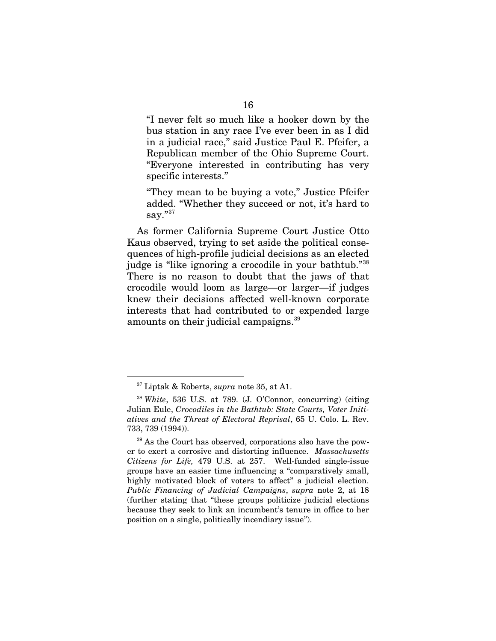"I never felt so much like a hooker down by the bus station in any race I've ever been in as I did in a judicial race," said Justice Paul E. Pfeifer, a Republican member of the Ohio Supreme Court. "Everyone interested in contributing has very specific interests."

"They mean to be buying a vote," Justice Pfeifer added. "Whether they succeed or not, it's hard to say."[37](#page-25-0)

As former California Supreme Court Justice Otto Kaus observed, trying to set aside the political consequences of high-profile judicial decisions as an elected judge is "like ignoring a crocodile in your bathtub."[38](#page-25-1)  There is no reason to doubt that the jaws of that crocodile would loom as large—or larger—if judges knew their decisions affected well-known corporate interests that had contributed to or expended large amounts on their judicial campaigns.<sup>[39](#page-25-2)</sup>

 <sup>37</sup> Liptak & Roberts, *supra* note 35, at A1.

<span id="page-25-1"></span><span id="page-25-0"></span><sup>38</sup> *White*, 536 U.S. at 789. (J. O'Connor, concurring) (citing Julian Eule, *Crocodiles in the Bathtub: State Courts, Voter Initiatives and the Threat of Electoral Reprisal*, 65 U. Colo. L. Rev. 733, 739 (1994)).

<span id="page-25-2"></span><sup>&</sup>lt;sup>39</sup> As the Court has observed, corporations also have the power to exert a corrosive and distorting influence. *Massachusetts Citizens for Life,* 479 U.S. at 257. Well-funded single-issue groups have an easier time influencing a "comparatively small, highly motivated block of voters to affect" a judicial election. *Public Financing of Judicial Campaigns*, *supra* note 2, at 18 (further stating that "these groups politicize judicial elections because they seek to link an incumbent's tenure in office to her position on a single, politically incendiary issue").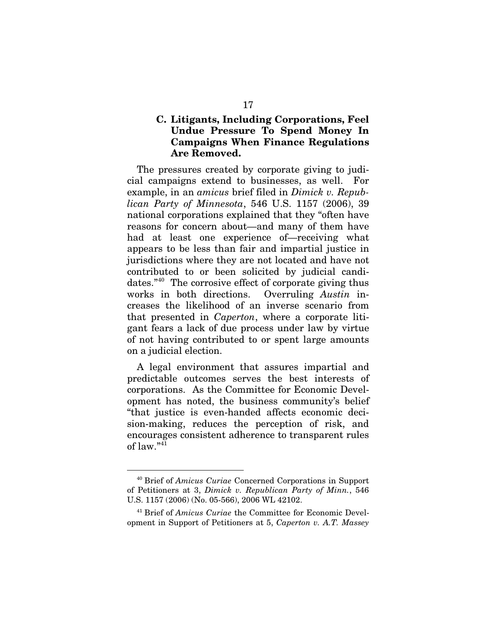### **C. Litigants, Including Corporations, Feel Undue Pressure To Spend Money In Campaigns When Finance Regulations Are Removed.**

The pressures created by corporate giving to judicial campaigns extend to businesses, as well. For example, in an *amicus* brief filed in *Dimick v. Republican Party of Minnesota*, 546 U.S. 1157 (2006), 39 national corporations explained that they "often have reasons for concern about—and many of them have had at least one experience of—receiving what appears to be less than fair and impartial justice in jurisdictions where they are not located and have not contributed to or been solicited by judicial candidates."[40](#page-26-0) The corrosive effect of corporate giving thus works in both directions. Overruling *Austin* increases the likelihood of an inverse scenario from that presented in *Caperton*, where a corporate litigant fears a lack of due process under law by virtue of not having contributed to or spent large amounts on a judicial election.

A legal environment that assures impartial and predictable outcomes serves the best interests of corporations. As the Committee for Economic Development has noted, the business community's belief "that justice is even-handed affects economic decision-making, reduces the perception of risk, and encourages consistent adherence to transparent rules of law." [41](#page-26-1)

<span id="page-26-0"></span> <sup>40</sup> Brief of *Amicus Curiae* Concerned Corporations in Support of Petitioners at 3, *Dimick v. Republican Party of Minn.*, 546 U.S. 1157 (2006) (No. 05-566), 2006 WL 42102.

<span id="page-26-1"></span><sup>41</sup> Brief of *Amicus Curiae* the Committee for Economic Development in Support of Petitioners at 5, *Caperton v. A.T. Massey*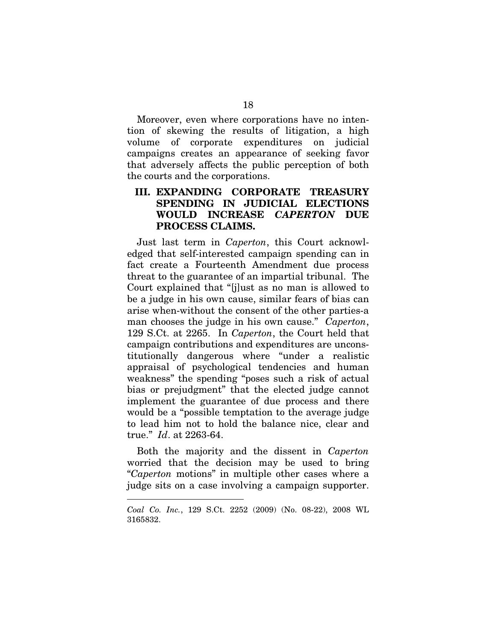Moreover, even where corporations have no intention of skewing the results of litigation, a high volume of corporate expenditures on judicial campaigns creates an appearance of seeking favor that adversely affects the public perception of both the courts and the corporations.

### **III. EXPANDING CORPORATE TREASURY SPENDING IN JUDICIAL ELECTIONS WOULD INCREASE** *CAPERTON* **DUE PROCESS CLAIMS.**

Just last term in *Caperton*, this Court acknowledged that self-interested campaign spending can in fact create a Fourteenth Amendment due process threat to the guarantee of an impartial tribunal. The Court explained that "[j]ust as no man is allowed to be a judge in his own cause, similar fears of bias can arise when-without the consent of the other parties-a man chooses the judge in his own cause." *Caperton*, 129 S.Ct. at 2265. In *Caperton*, the Court held that campaign contributions and expenditures are unconstitutionally dangerous where "under a realistic appraisal of psychological tendencies and human weakness" the spending "poses such a risk of actual bias or prejudgment" that the elected judge cannot implement the guarantee of due process and there would be a "possible temptation to the average judge to lead him not to hold the balance nice, clear and true." *Id*. at 2263-64.

Both the majority and the dissent in *Caperton* worried that the decision may be used to bring "*Caperton* motions" in multiple other cases where a judge sits on a case involving a campaign supporter.

-

*Coal Co. Inc.*, 129 S.Ct. 2252 (2009) (No. 08-22), 2008 WL 3165832.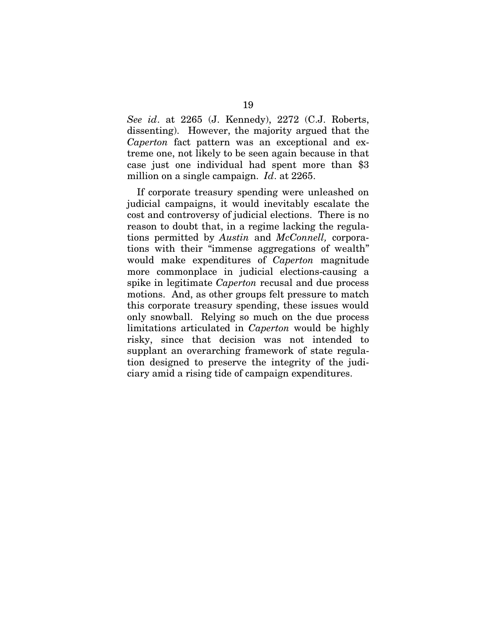*See id*. at 2265 (J. Kennedy), 2272 (C.J. Roberts, dissenting). However, the majority argued that the *Caperton* fact pattern was an exceptional and extreme one, not likely to be seen again because in that case just one individual had spent more than \$3 million on a single campaign. *Id*. at 2265.

If corporate treasury spending were unleashed on judicial campaigns, it would inevitably escalate the cost and controversy of judicial elections. There is no reason to doubt that, in a regime lacking the regulations permitted by *Austin* and *McConnell,* corporations with their "immense aggregations of wealth" would make expenditures of *Caperton* magnitude more commonplace in judicial elections-causing a spike in legitimate *Caperton* recusal and due process motions. And, as other groups felt pressure to match this corporate treasury spending, these issues would only snowball. Relying so much on the due process limitations articulated in *Caperton* would be highly risky, since that decision was not intended to supplant an overarching framework of state regulation designed to preserve the integrity of the judiciary amid a rising tide of campaign expenditures.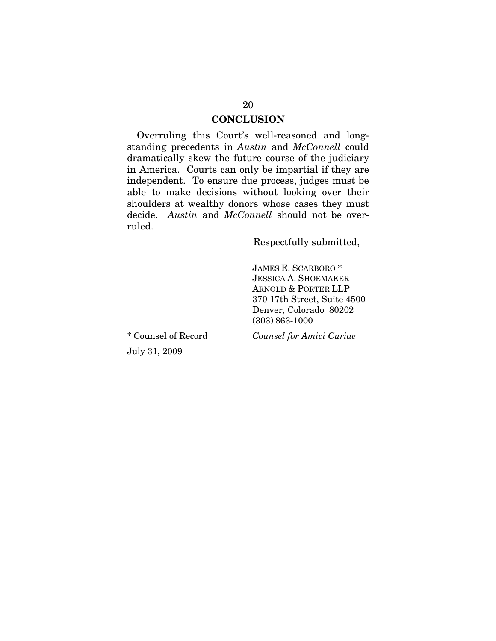#### **CONCLUSION**

Overruling this Court's well-reasoned and longstanding precedents in *Austin* and *McConnell* could dramatically skew the future course of the judiciary in America. Courts can only be impartial if they are independent. To ensure due process, judges must be able to make decisions without looking over their shoulders at wealthy donors whose cases they must decide. *Austin* and *McConnell* should not be overruled.

Respectfully submitted,

JAMES E. SCARBORO \* JESSICA A. SHOEMAKER ARNOLD & PORTER LLP 370 17th Street, Suite 4500 Denver, Colorado 80202 (303) 863-1000

\* Counsel of Record July 31, 2009

*Counsel for Amici Curiae*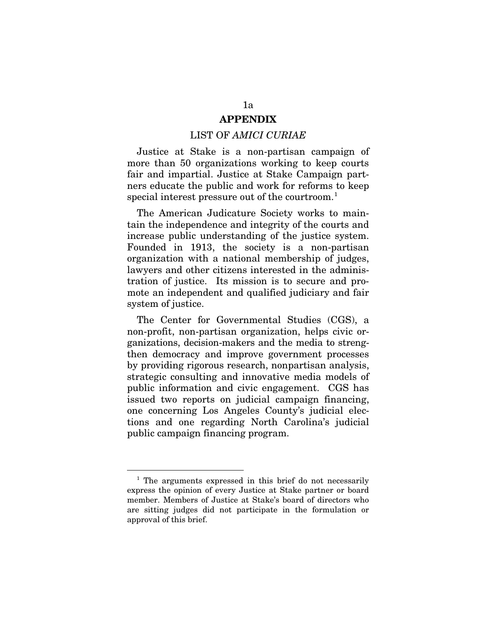### **APPENDIX**

#### LIST OF *AMICI CURIAE*

Justice at Stake is a non-partisan campaign of more than 50 organizations working to keep courts fair and impartial. Justice at Stake Campaign partners educate the public and work for reforms to keep special interest pressure out of the courtroom.<sup>[1](#page-30-0)</sup>

The American Judicature Society works to maintain the independence and integrity of the courts and increase public understanding of the justice system. Founded in 1913, the society is a non-partisan organization with a national membership of judges, lawyers and other citizens interested in the administration of justice. Its mission is to secure and promote an independent and qualified judiciary and fair system of justice.

The Center for Governmental Studies (CGS), a non-profit, non-partisan organization, helps civic organizations, decision-makers and the media to strengthen democracy and improve government processes by providing rigorous research, nonpartisan analysis, strategic consulting and innovative media models of public information and civic engagement. CGS has issued two reports on judicial campaign financing, one concerning Los Angeles County's judicial elections and one regarding North Carolina's judicial public campaign financing program.

<span id="page-30-0"></span><sup>&</sup>lt;sup>1</sup> The arguments expressed in this brief do not necessarily express the opinion of every Justice at Stake partner or board member. Members of Justice at Stake's board of directors who are sitting judges did not participate in the formulation or approval of this brief.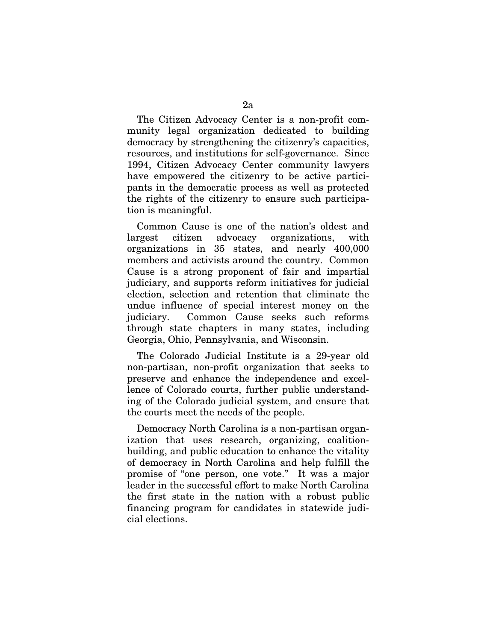The Citizen Advocacy Center is a non-profit community legal organization dedicated to building democracy by strengthening the citizenry's capacities, resources, and institutions for self-governance. Since 1994, Citizen Advocacy Center community lawyers have empowered the citizenry to be active participants in the democratic process as well as protected the rights of the citizenry to ensure such participation is meaningful.

Common Cause is one of the nation's oldest and largest citizen advocacy organizations, with organizations in 35 states, and nearly 400,000 members and activists around the country. Common Cause is a strong proponent of fair and impartial judiciary, and supports reform initiatives for judicial election, selection and retention that eliminate the undue influence of special interest money on the judiciary. Common Cause seeks such reforms through state chapters in many states, including Georgia, Ohio, Pennsylvania, and Wisconsin.

The Colorado Judicial Institute is a 29-year old non-partisan, non-profit organization that seeks to preserve and enhance the independence and excellence of Colorado courts, further public understanding of the Colorado judicial system, and ensure that the courts meet the needs of the people.

Democracy North Carolina is a non-partisan organization that uses research, organizing, coalitionbuilding, and public education to enhance the vitality of democracy in North Carolina and help fulfill the promise of "one person, one vote." It was a major leader in the successful effort to make North Carolina the first state in the nation with a robust public financing program for candidates in statewide judicial elections.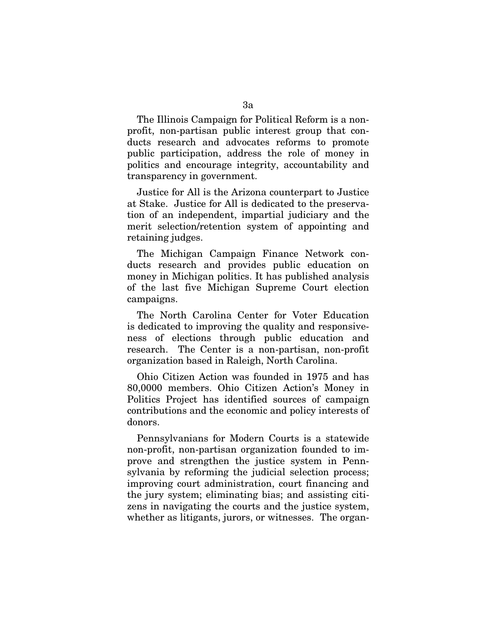The Illinois Campaign for Political Reform is a nonprofit, non-partisan public interest group that conducts research and advocates reforms to promote public participation, address the role of money in politics and encourage integrity, accountability and transparency in government.

Justice for All is the Arizona counterpart to Justice at Stake. Justice for All is dedicated to the preservation of an independent, impartial judiciary and the merit selection/retention system of appointing and retaining judges.

The Michigan Campaign Finance Network conducts research and provides public education on money in Michigan politics. It has published analysis of the last five Michigan Supreme Court election campaigns.

The North Carolina Center for Voter Education is dedicated to improving the quality and responsiveness of elections through public education and research. The Center is a non-partisan, non-profit organization based in Raleigh, North Carolina.

Ohio Citizen Action was founded in 1975 and has 80,0000 members. Ohio Citizen Action's Money in Politics Project has identified sources of campaign contributions and the economic and policy interests of donors.

Pennsylvanians for Modern Courts is a statewide non-profit, non-partisan organization founded to improve and strengthen the justice system in Pennsylvania by reforming the judicial selection process; improving court administration, court financing and the jury system; eliminating bias; and assisting citizens in navigating the courts and the justice system, whether as litigants, jurors, or witnesses. The organ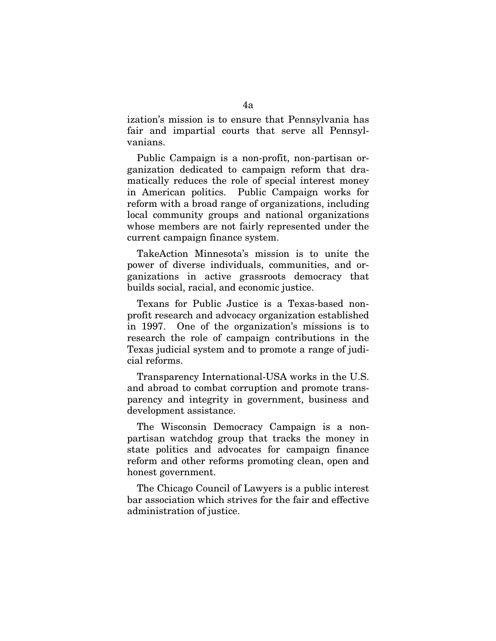ization's mission is to ensure that Pennsylvania has fair and impartial courts that serve all Pennsylvanians.

Public Campaign is a non-profit, non-partisan organization dedicated to campaign reform that dramatically reduces the role of special interest money in American politics. Public Campaign works for reform with a broad range of organizations, including local community groups and national organizations whose members are not fairly represented under the current campaign finance system.

TakeAction Minnesota's mission is to unite the power of diverse individuals, communities, and organizations in active grassroots democracy that builds social, racial, and economic justice.

Texans for Public Justice is a Texas-based nonprofit research and advocacy organization established in 1997. One of the organization's missions is to research the role of campaign contributions in the Texas judicial system and to promote a range of judicial reforms.

Transparency International-USA works in the U.S. and abroad to combat corruption and promote transparency and integrity in government, business and development assistance.

The Wisconsin Democracy Campaign is a nonpartisan watchdog group that tracks the money in state politics and advocates for campaign finance reform and other reforms promoting clean, open and honest government.

The Chicago Council of Lawyers is a public interest bar association which strives for the fair and effective administration of justice.